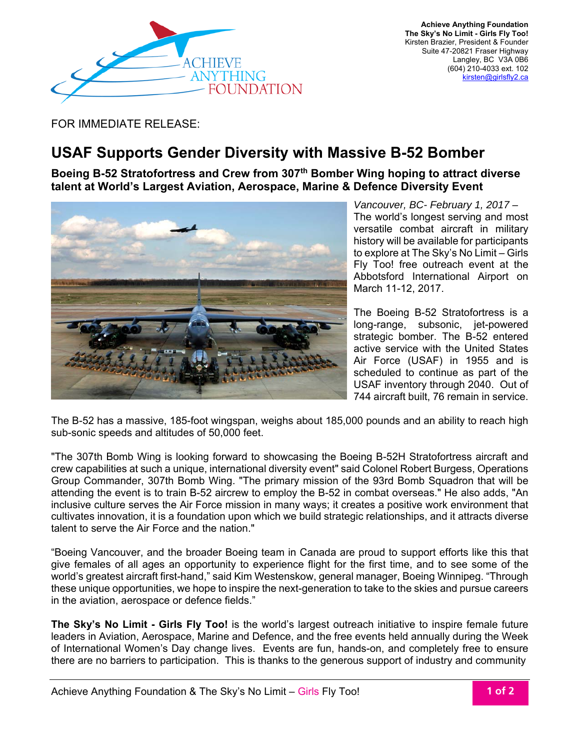

FOR IMMEDIATE RELEASE:

## **USAF Supports Gender Diversity with Massive B-52 Bomber**

**Boeing B-52 Stratofortress and Crew from 307th Bomber Wing hoping to attract diverse talent at World's Largest Aviation, Aerospace, Marine & Defence Diversity Event**



*Vancouver, BC- February 1, 2017 –*  The world's longest serving and most versatile combat aircraft in military history will be available for participants to explore at The Sky's No Limit – Girls Fly Too! free outreach event at the Abbotsford International Airport on March 11-12, 2017.

The Boeing B-52 Stratofortress is a long-range, subsonic, jet-powered strategic bomber. The B-52 entered active service with the United States Air Force (USAF) in 1955 and is scheduled to continue as part of the USAF inventory through 2040. Out of 744 aircraft built, 76 remain in service.

The B-52 has a massive, 185-foot wingspan, weighs about 185,000 pounds and an ability to reach high sub-sonic speeds and altitudes of 50,000 feet.

"The 307th Bomb Wing is looking forward to showcasing the Boeing B-52H Stratofortress aircraft and crew capabilities at such a unique, international diversity event" said Colonel Robert Burgess, Operations Group Commander, 307th Bomb Wing. "The primary mission of the 93rd Bomb Squadron that will be attending the event is to train B-52 aircrew to employ the B-52 in combat overseas." He also adds, "An inclusive culture serves the Air Force mission in many ways; it creates a positive work environment that cultivates innovation, it is a foundation upon which we build strategic relationships, and it attracts diverse talent to serve the Air Force and the nation."

"Boeing Vancouver, and the broader Boeing team in Canada are proud to support efforts like this that give females of all ages an opportunity to experience flight for the first time, and to see some of the world's greatest aircraft first-hand," said Kim Westenskow, general manager, Boeing Winnipeg. "Through these unique opportunities, we hope to inspire the next-generation to take to the skies and pursue careers in the aviation, aerospace or defence fields."

**The Sky's No Limit - Girls Fly Too!** is the world's largest outreach initiative to inspire female future leaders in Aviation, Aerospace, Marine and Defence, and the free events held annually during the Week of International Women's Day change lives. Events are fun, hands-on, and completely free to ensure there are no barriers to participation. This is thanks to the generous support of industry and community